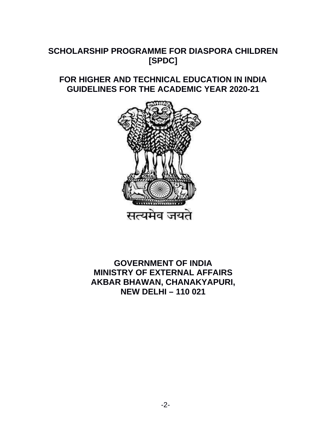# **SCHOLARSHIP PROGRAMME FOR DIASPORA CHILDREN [SPDC]**

## **FOR HIGHER AND TECHNICAL EDUCATION IN INDIA GUIDELINES FOR THE ACADEMIC YEAR 2020-21**



# **GOVERNMENT OF INDIA MINISTRY OF EXTERNAL AFFAIRS AKBAR BHAWAN, CHANAKYAPURI, NEW DELHI – 110 021**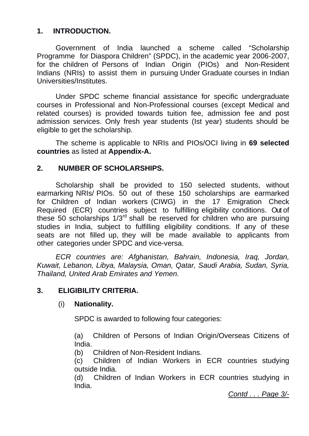## **1. INTRODUCTION.**

 Government of India launched a scheme called "Scholarship Programme for Diaspora Children" (SPDC), in the academic year 2006-2007, for the children of Persons of Indian Origin (PIOs) and Non-Resident Indians (NRIs) to assist them in pursuing Under Graduate courses in Indian Universities/Institutes.

 Under SPDC scheme financial assistance for specific undergraduate courses in Professional and Non-Professional courses (except Medical and related courses) is provided towards tuition fee, admission fee and post admission services. Only fresh year students (Ist year) students should be eligible to get the scholarship.

 The scheme is applicable to NRIs and PIOs/OCI living in **69 selected countries** as listed at **Appendix-A.**

#### **2. NUMBER OF SCHOLARSHIPS.**

 Scholarship shall be provided to 150 selected students, without earmarking NRIs/ PIOs. 50 out of these 150 scholarships are earmarked for Children of Indian workers (CIWG) in the 17 Emigration Check Required (ECR) countries subject to fulfilling eligibility conditions. Out of these 50 scholarships 1/3rd shall be reserved for children who are pursuing studies in India, subject to fulfilling eligibility conditions. If any of these seats are not filled up, they will be made available to applicants from other categories under SPDC and vice-versa.

 *ECR countries are: Afghanistan, Bahrain, Indonesia, Iraq, Jordan, Kuwait, Lebanon, Libya, Malaysia, Oman, Qatar, Saudi Arabia, Sudan, Syria, Thailand, United Arab Emirates and Yemen.* 

## **3. ELIGIBILITY CRITERIA.**

#### (i) **Nationality.**

SPDC is awarded to following four categories:

 (a) Children of Persons of Indian Origin/Overseas Citizens of India.

(b) Children of Non-Resident Indians.

 (c) Children of Indian Workers in ECR countries studying outside India.

 (d) Children of Indian Workers in ECR countries studying in India.

*Contd . . . Page 3/-*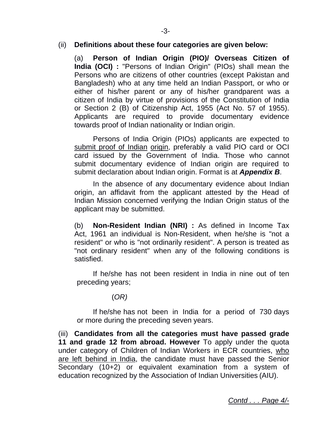#### (ii) **Definitions about these four categories are given below:**

(a) **Person of Indian Origin (PIO)/ Overseas Citizen of India (OCI) :** "Persons of Indian Origin" (PIOs) shall mean the Persons who are citizens of other countries (except Pakistan and Bangladesh) who at any time held an Indian Passport, or who or either of his/her parent or any of his/her grandparent was a citizen of India by virtue of provisions of the Constitution of India or Section 2 (B) of Citizenship Act, 1955 (Act No. 57 of 1955). Applicants are required to provide documentary evidence towards proof of Indian nationality or Indian origin.

 Persons of India Origin (PIOs) applicants are expected to submit proof of Indian origin, preferably a valid PIO card or OCI card issued by the Government of India. Those who cannot submit documentary evidence of Indian origin are required to submit declaration about Indian origin. Format is at *Appendix B*.

 In the absence of any documentary evidence about Indian origin, an affidavit from the applicant attested by the Head of Indian Mission concerned verifying the Indian Origin status of the applicant may be submitted.

(b) **Non-Resident Indian (NRI) :** As defined in Income Tax Act, 1961 an individual is Non-Resident, when he/she is "not a resident" or who is "not ordinarily resident". A person is treated as "not ordinary resident" when any of the following conditions is satisfied.

 If he/she has not been resident in India in nine out of ten preceding years;

## (*OR)*

 If he/she has not been in India for a period of 730 days or more during the preceding seven years.

(iii) **Candidates from all the categories must have passed grade 11 and grade 12 from abroad. However** To apply under the quota under category of Children of Indian Workers in ECR countries, who are left behind in India, the candidate must have passed the Senior Secondary (10+2) or equivalent examination from a system of education recognized by the Association of Indian Universities (AIU).

*Contd . . . Page 4/-*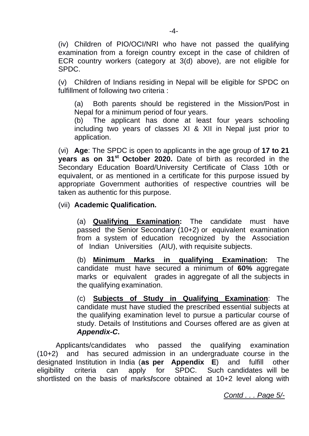(iv) Children of PIO/OCI/NRI who have not passed the qualifying examination from a foreign country except in the case of children of ECR country workers (category at 3(d) above), are not eligible for SPDC.

(v) Children of Indians residing in Nepal will be eligible for SPDC on fulfillment of following two criteria :

 (a) Both parents should be registered in the Mission/Post in Nepal for a minimum period of four years.

 (b) The applicant has done at least four years schooling including two years of classes XI & XII in Nepal just prior to application.

(vi) **Age**: The SPDC is open to applicants in the age group of **17 to 21 years as on 31st October 2020.** Date of birth as recorded in the Secondary Education Board/University Certificate of Class 10th or equivalent, or as mentioned in a certificate for this purpose issued by appropriate Government authorities of respective countries will be taken as authentic for this purpose.

(vii) **Academic Qualification.**

 (a) **Qualifying Examination:** The candidate must have passed the Senior Secondary (10+2) or equivalent examination from a system of education recognized by the Association of Indian Universities (AIU), with requisite subjects.

 (b) **Minimum Marks in qualifying Examination:** The candidate must have secured a minimum of **60%** aggregate marks or equivalent grades in aggregate of all the subjects in the qualifying examination.

 (c) **Subjects of Study in Qualifying Examination**: The candidate must have studied the prescribed essential subjects at the qualifying examination level to pursue a particular course of study. Details of Institutions and Courses offered are as given at *Appendix-C***.**

 Applicants/candidates who passed the qualifying examination (10+2) and has secured admission in an undergraduate course in the designated Institution in India (**as per Appendix E**) and fulfill other eligibility criteria can apply for SPDC. Such candidates will be shortlisted on the basis of marks**/**score obtained at 10+2 level along with

*Contd . . . Page 5/-*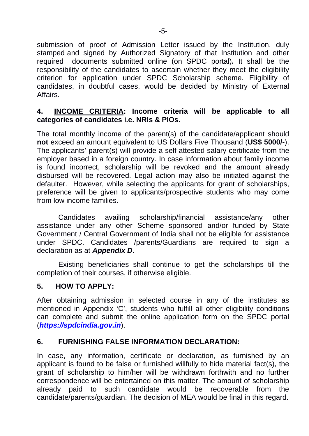submission of proof of Admission Letter issued by the Institution, duly stamped and signed by Authorized Signatory of that Institution and other required documents submitted online (on SPDC portal)**.** It shall be the responsibility of the candidates to ascertain whether they meet the eligibility criterion for application under SPDC Scholarship scheme. Eligibility of candidates, in doubtful cases, would be decided by Ministry of External Affairs.

## **4. INCOME CRITERIA: Income criteria will be applicable to all categories of candidates i.e. NRIs & PIOs.**

The total monthly income of the parent(s) of the candidate/applicant should **not** exceed an amount equivalent to US Dollars Five Thousand (**US\$ 5000/-**). The applicants' parent(s) will provide a self attested salary certificate from the employer based in a foreign country. In case information about family income is found incorrect, scholarship will be revoked and the amount already disbursed will be recovered. Legal action may also be initiated against the defaulter. However, while selecting the applicants for grant of scholarships, preference will be given to applicants/prospective students who may come from low income families.

 Candidates availing scholarship/financial assistance/any other assistance under any other Scheme sponsored and/or funded by State Government / Central Government of India shall not be eligible for assistance under SPDC. Candidates /parents/Guardians are required to sign a declaration as at *Appendix D*.

 Existing beneficiaries shall continue to get the scholarships till the completion of their courses, if otherwise eligible.

## **5. HOW TO APPLY:**

After obtaining admission in selected course in any of the institutes as mentioned in Appendix 'C', students who fulfill all other eligibility conditions can complete and submit the online application form on the SPDC portal (*https://spdcindia.gov.in*).

## **6. FURNISHING FALSE INFORMATION DECLARATION:**

In case, any information, certificate or declaration, as furnished by an applicant is found to be false or furnished willfully to hide material fact(s), the grant of scholarship to him/her will be withdrawn forthwith and no further correspondence will be entertained on this matter. The amount of scholarship already paid to such candidate would be recoverable from the candidate/parents/guardian. The decision of MEA would be final in this regard.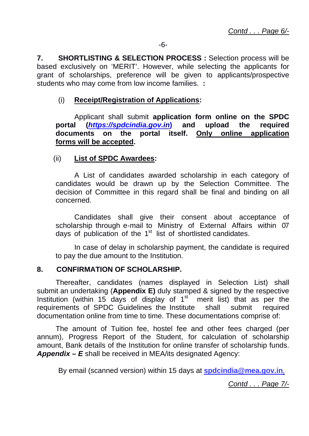**7. SHORTLISTING & SELECTION PROCESS :** Selection process will be based exclusively on 'MERIT'. However, while selecting the applicants for grant of scholarships, preference will be given to applicants/prospective students who may come from low income families. **:**

### (i) **Receipt/Registration of Applications:**

 Applicant shall submit **application form online on the SPDC portal (***https://spdcindia.gov.in***) and upload the required documents on the portal itself. Only online application forms will be accepted.**

#### (ii) **List of SPDC Awardees:**

 A List of candidates awarded scholarship in each category of candidates would be drawn up by the Selection Committee. The decision of Committee in this regard shall be final and binding on all concerned.

 Candidates shall give their consent about acceptance of scholarship through e-mail to Ministry of External Affairs within 07 days of publication of the  $1<sup>st</sup>$  list of shortlisted candidates.

 In case of delay in scholarship payment, the candidate is required to pay the due amount to the Institution.

#### **8. CONFIRMATION OF SCHOLARSHIP.**

 Thereafter, candidates (names displayed in Selection List) shall submit an undertaking (**Appendix E)** duly stamped & signed by the respective Institution (within 15 days of display of  $1<sup>st</sup>$  merit list) that as per the requirements of SPDC Guidelines the Institute shall submit required documentation online from time to time. These documentations comprise of:

 The amount of Tuition fee, hostel fee and other fees charged (per annum), Progress Report of the Student, for calculation of scholarship amount, Bank details of the Institution for online transfer of scholarship funds. *Appendix – E* shall be received in MEA/its designated Agency:

By email (scanned version) within 15 days at **spdcindia@mea.gov.in**.

*Contd . . . Page 7/-*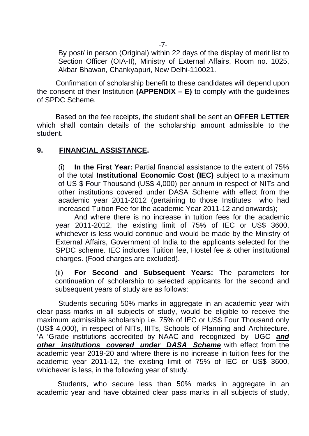By post/ in person (Original) within 22 days of the display of merit list to Section Officer (OIA-II), Ministry of External Affairs, Room no. 1025, Akbar Bhawan, Chankyapuri, New Delhi-110021.

 Confirmation of scholarship benefit to these candidates will depend upon the consent of their Institution **(APPENDIX – E)** to comply with the guidelines of SPDC Scheme.

 Based on the fee receipts, the student shall be sent an **OFFER LETTER**  which shall contain details of the scholarship amount admissible to the student.

## **9. FINANCIAL ASSISTANCE.**

(i) **In the First Year:** Partial financial assistance to the extent of 75% of the total **Institutional Economic Cost (IEC)** subject to a maximum of US \$ Four Thousand (US\$ 4,000) per annum in respect of NITs and other institutions covered under DASA Scheme with effect from the academic year 2011-2012 (pertaining to those Institutes who had increased Tuition Fee for the academic Year 2011-12 and onwards);

 And where there is no increase in tuition fees for the academic year 2011-2012, the existing limit of 75% of IEC or US\$ 3600, whichever is less would continue and would be made by the Ministry of External Affairs, Government of India to the applicants selected for the SPDC scheme. IEC includes Tuition fee, Hostel fee & other institutional charges. (Food charges are excluded).

(ii) **For Second and Subsequent Years:** The parameters for continuation of scholarship to selected applicants for the second and subsequent years of study are as follows:

 Students securing 50% marks in aggregate in an academic year with clear pass marks in all subjects of study, would be eligible to receive the maximum admissible scholarship i.e. 75% of IEC or US\$ Four Thousand only (US\$ 4,000), in respect of NITs, IIITs, Schools of Planning and Architecture, 'A 'Grade institutions accredited by NAAC and recognized by UGC *and other institutions covered under DASA Scheme* with effect from the academic year 2019-20 and where there is no increase in tuition fees for the academic year 2011-12, the existing limit of 75% of IEC or US\$ 3600, whichever is less, in the following year of study.

 Students, who secure less than 50% marks in aggregate in an academic year and have obtained clear pass marks in all subjects of study,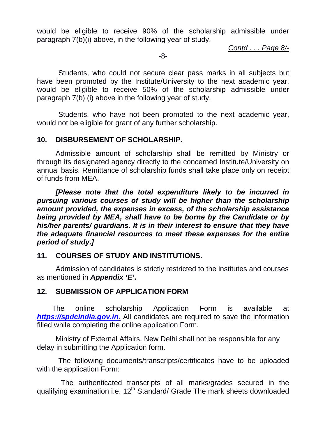would be eligible to receive 90% of the scholarship admissible under paragraph 7(b)(i) above, in the following year of study.

*Contd . . . Page 8/-*

-8-

 Students, who could not secure clear pass marks in all subjects but have been promoted by the Institute/University to the next academic year, would be eligible to receive 50% of the scholarship admissible under paragraph 7(b) (i) above in the following year of study.

 Students, who have not been promoted to the next academic year, would not be eligible for grant of any further scholarship.

#### **10. DISBURSEMENT OF SCHOLARSHIP.**

 Admissible amount of scholarship shall be remitted by Ministry or through its designated agency directly to the concerned Institute/University on annual basis. Remittance of scholarship funds shall take place only on receipt of funds from MEA.

 *[Please note that the total expenditure likely to be incurred in pursuing various courses of study will be higher than the scholarship amount provided, the expenses in excess, of the scholarship assistance being provided by MEA, shall have to be borne by the Candidate or by his/her parents/ guardians. It is in their interest to ensure that they have the adequate financial resources to meet these expenses for the entire period of study.]*

## **11. COURSES OF STUDY AND INSTITUTIONS.**

 Admission of candidates is strictly restricted to the institutes and courses as mentioned in *Appendix 'E'***.**

## **12. SUBMISSION OF APPLICATION FORM**

 The online scholarship Application Form is available at *https://spdcindia.gov.in*. All candidates are required to save the information filled while completing the online application Form.

 Ministry of External Affairs, New Delhi shall not be responsible for any delay in submitting the Application form.

 The following documents/transcripts/certificates have to be uploaded with the application Form:

 The authenticated transcripts of all marks/grades secured in the qualifying examination i.e.  $12<sup>th</sup>$  Standard/ Grade The mark sheets downloaded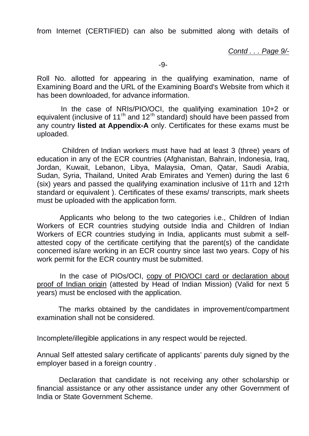from Internet (CERTIFIED) can also be submitted along with details of

*Contd . . . Page 9/-*

-9-

Roll No. allotted for appearing in the qualifying examination, name of Examining Board and the URL of the Examining Board's Website from which it has been downloaded, for advance information.

 In the case of NRIs/PIO/OCI, the qualifying examination 10+2 or equivalent (inclusive of 11<sup>th</sup> and 12<sup>th</sup> standard) should have been passed from any country **listed at Appendix-A** only. Certificates for these exams must be uploaded.

 Children of Indian workers must have had at least 3 (three) years of education in any of the ECR countries (Afghanistan, Bahrain, Indonesia, Iraq, Jordan, Kuwait, Lebanon, Libya, Malaysia, Oman, Qatar, Saudi Arabia, Sudan, Syria, Thailand, United Arab Emirates and Yemen) during the last 6 (six) years and passed the qualifying examination inclusive of 11Th and 12Th standard or equivalent ). Certificates of these exams/ transcripts, mark sheets must be uploaded with the application form.

 Applicants who belong to the two categories i.e., Children of Indian Workers of ECR countries studying outside India and Children of Indian Workers of ECR countries studying in India, applicants must submit a selfattested copy of the certificate certifying that the parent(s) of the candidate concerned is/are working in an ECR country since last two years. Copy of his work permit for the ECR country must be submitted.

 In the case of PIOs/OCI, copy of PIO/OCI card or declaration about proof of Indian origin (attested by Head of Indian Mission) (Valid for next 5 years) must be enclosed with the application.

 The marks obtained by the candidates in improvement/compartment examination shall not be considered.

Incomplete/illegible applications in any respect would be rejected.

Annual Self attested salary certificate of applicants' parents duly signed by the employer based in a foreign country .

 Declaration that candidate is not receiving any other scholarship or financial assistance or any other assistance under any other Government of India or State Government Scheme.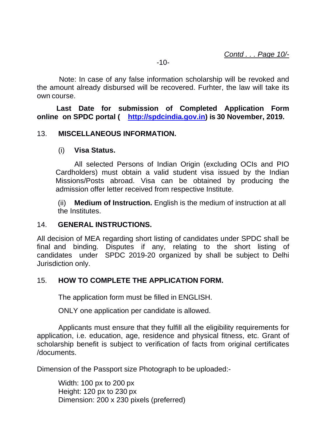Note: In case of any false information scholarship will be revoked and the amount already disbursed will be recovered. Furhter, the law will take its own course.

 $-10-$ 

 **Last Date for submission of Completed Application Form online on SPDC portal ( http://spdcindia.gov.in) is 30 November, 2019.**

#### 13. **MISCELLANEOUS INFORMATION.**

#### (i) **Visa Status.**

 All selected Persons of Indian Origin (excluding OCIs and PIO Cardholders) must obtain a valid student visa issued by the Indian Missions/Posts abroad. Visa can be obtained by producing the admission offer letter received from respective Institute.

(ii) **Medium of Instruction.** English is the medium of instruction at all the Institutes.

#### 14. **GENERAL INSTRUCTIONS.**

All decision of MEA regarding short listing of candidates under SPDC shall be final and binding. Disputes if any, relating to the short listing of candidates under SPDC 2019-20 organized by shall be subject to Delhi Jurisdiction only.

## 15. **HOW TO COMPLETE THE APPLICATION FORM.**

The application form must be filled in ENGLISH.

ONLY one application per candidate is allowed.

 Applicants must ensure that they fulfill all the eligibility requirements for application, i.e. education, age, residence and physical fitness, etc. Grant of scholarship benefit is subject to verification of facts from original certificates /documents.

Dimension of the Passport size Photograph to be uploaded:-

Width: 100 px to 200 px Height: 120 px to 230 px Dimension: 200 x 230 pixels (preferred)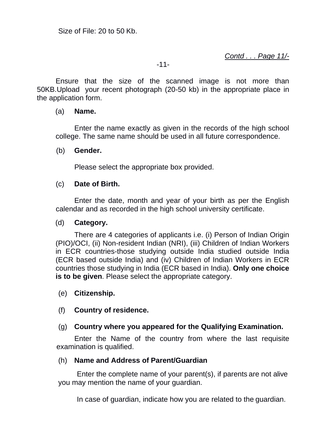*Contd . . . Page 11/-*

#### -11-

 Ensure that the size of the scanned image is not more than 50KB.Upload your recent photograph (20-50 kb) in the appropriate place in the application form.

#### (a) **Name.**

 Enter the name exactly as given in the records of the high school college. The same name should be used in all future correspondence.

#### (b) **Gender.**

Please select the appropriate box provided.

#### (c) **Date of Birth.**

 Enter the date, month and year of your birth as per the English calendar and as recorded in the high school university certificate.

#### (d) **Category.**

 There are 4 categories of applicants i.e. (i) Person of Indian Origin (PIO)/OCI, (ii) Non-resident Indian (NRI), (iii) Children of Indian Workers in ECR countries-those studying outside India studied outside India (ECR based outside India) and (iv) Children of Indian Workers in ECR countries those studying in India (ECR based in India). **Only one choice is to be given**. Please select the appropriate category.

## (e) **Citizenship.**

## (f) **Country of residence.**

## (g) **Country where you appeared for the Qualifying Examination.**

 Enter the Name of the country from where the last requisite examination is qualified.

#### (h) **Name and Address of Parent/Guardian**

 Enter the complete name of your parent(s), if parents are not alive you may mention the name of your guardian.

In case of guardian, indicate how you are related to the guardian.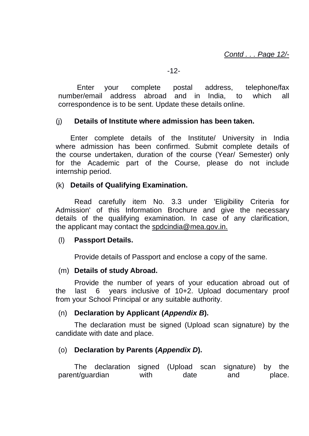Enter your complete postal address, telephone/fax number/email address abroad and in India, to which all correspondence is to be sent. Update these details online.

## (j) **Details of Institute where admission has been taken.**

 Enter complete details of the Institute/ University in India where admission has been confirmed. Submit complete details of the course undertaken, duration of the course (Year/ Semester) only for the Academic part of the Course, please do not include internship period.

## (k) **Details of Qualifying Examination.**

 Read carefully item No. 3.3 under 'Eligibility Criteria for Admission' of this Information Brochure and give the necessary details of the qualifying examination. In case of any clarification, the applicant may contact the spdcindia@mea.gov.in.

## (l) **Passport Details.**

Provide details of Passport and enclose a copy of the same.

## (m) **Details of study Abroad.**

 Provide the number of years of your education abroad out of the last 6 years inclusive of 10+2. Upload documentary proof from your School Principal or any suitable authority.

## (n) **Declaration by Applicant (***Appendix B***).**

 The declaration must be signed (Upload scan signature) by the candidate with date and place.

## (o) **Declaration by Parents (***Appendix D***).**

The declaration signed (Upload scan signature) by the parent/guardian with date and place.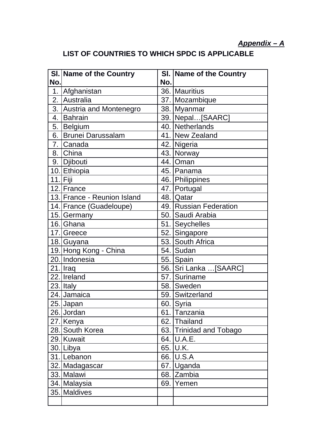# *Appendix – A*

# **LIST OF COUNTRIES TO WHICH SPDC IS APPLICABLE**

|                | SI. Name of the Country     |     | <b>SI. Name of the Country</b> |
|----------------|-----------------------------|-----|--------------------------------|
| No.            |                             | No. |                                |
| 1 <sub>1</sub> | Afghanistan                 |     | 36. Mauritius                  |
| 2.             | Australia                   |     | 37. Mozambique                 |
|                | 3. Austria and Montenegro   |     | 38. Myanmar                    |
| 4.             | <b>Bahrain</b>              |     | 39. Nepal[SAARC]               |
| 5.1            | <b>Belgium</b>              |     | 40. Netherlands                |
| 6.1            | <b>Brunei Darussalam</b>    |     | 41. New Zealand                |
| 7.             | Canada                      |     | 42. Nigeria                    |
|                | 8. China                    |     | 43. Norway                     |
|                | 9. Djibouti                 |     | 44.   Oman                     |
|                | 10. Ethiopia                |     | 45. Panama                     |
|                | $11.$ $Fiji$                |     | 46. Philippines                |
|                | 12. France                  |     | 47. Portugal                   |
|                | 13. France - Reunion Island |     | 48. Qatar                      |
|                | 14. France (Guadeloupe)     |     | 49. Russian Federation         |
|                | 15. Germany                 |     | 50. Saudi Arabia               |
|                | 16. Ghana                   |     | 51. Seychelles                 |
|                | 17. Greece                  |     | 52. Singapore                  |
|                | 18. Guyana                  |     | 53. South Africa               |
|                | 19. Hong Kong - China       |     | 54. Sudan                      |
|                | 20. Indonesia               |     | 55. Spain                      |
|                | $21$ . Iraq                 |     | 56.   Sri Lanka  [SAARC]       |
|                | 22. Ireland                 |     | 57. Suriname                   |
|                | 23. Italy                   |     | 58. Sweden                     |
|                | 24. Jamaica                 |     | 59. Switzerland                |
|                | 25. Japan                   |     | 60. Syria                      |
|                | 26. Jordan                  |     | 61. Tanzania                   |
|                | 27. Kenya                   |     | 62. Thailand                   |
|                | 28. South Korea             |     | 63. Trinidad and Tobago        |
|                | 29. Kuwait                  |     | 64. U.A.E.                     |
|                | 30. Libya                   |     | 65. U.K.                       |
|                | 31. Lebanon                 |     | 66. U.S.A                      |
|                | 32. Madagascar              |     | 67. Uganda                     |
|                | 33. Malawi                  |     | 68. Zambia                     |
|                | 34. Malaysia                |     | 69.   Yemen                    |
|                | 35. Maldives                |     |                                |
|                |                             |     |                                |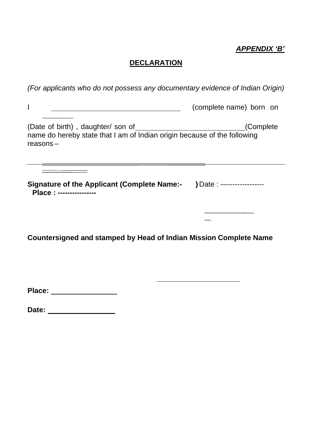## *APPENDIX 'B'*

# **DECLARATION**

| (For applicants who do not possess any documentary evidence of Indian Origin)                                                |                             |  |  |  |
|------------------------------------------------------------------------------------------------------------------------------|-----------------------------|--|--|--|
| I                                                                                                                            | (complete name) born on     |  |  |  |
| (Date of birth), daughter/ son of<br>name do hereby state that I am of Indian origin because of the following<br>$reasons -$ | (Complete)                  |  |  |  |
| <b>Signature of the Applicant (Complete Name:-</b><br>Place: ----------------                                                | ) Date : ------------------ |  |  |  |
|                                                                                                                              |                             |  |  |  |

**Countersigned and stamped by Head of Indian Mission Complete Name**

**Place:** 

**Date:**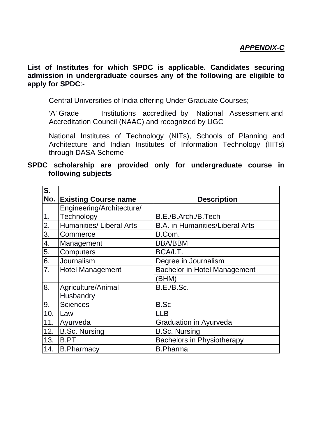**List of Institutes for which SPDC is applicable. Candidates securing admission in undergraduate courses any of the following are eligible to apply for SPDC**:-

Central Universities of India offering Under Graduate Courses;

'A' Grade Institutions accredited by National Assessment and Accreditation Council (NAAC) and recognized by UGC

National Institutes of Technology (NITs), Schools of Planning and Architecture and Indian Institutes of Information Technology (IIITs) through DASA Scheme

#### **SPDC scholarship are provided only for undergraduate course in following subjects**

| $\overline{\mathsf{S}}$ . |                                 |                                        |
|---------------------------|---------------------------------|----------------------------------------|
| No.                       | <b>Existing Course name</b>     | <b>Description</b>                     |
|                           | Engineering/Architecture/       |                                        |
| $\overline{1}$ .          | Technology                      | B.E./B.Arch./B.Tech                    |
| $\frac{1}{2}$             | <b>Humanities/ Liberal Arts</b> | <b>B.A.</b> in Humanities/Liberal Arts |
|                           | Commerce                        | B.Com.                                 |
| 4.                        | Management                      | <b>BBA/BBM</b>                         |
| 5.                        | Computers                       | BCA/I.T.                               |
| 6.                        | Journalism                      | Degree in Journalism                   |
| 7.                        | <b>Hotel Management</b>         | <b>Bachelor in Hotel Management</b>    |
|                           |                                 | (BHM)                                  |
| $\overline{8}$ .          | Agriculture/Animal              | B.E./B.Sc.                             |
|                           | Husbandry                       |                                        |
| O.                        | <b>Sciences</b>                 | <b>B.Sc</b>                            |
| 10.                       | Law                             | <b>LLB</b>                             |
| 11.                       | Ayurveda                        | <b>Graduation in Ayurveda</b>          |
| 12.                       | <b>B.Sc. Nursing</b>            | <b>B.Sc. Nursing</b>                   |
| 13.                       | <b>B.PT</b>                     | <b>Bachelors in Physiotherapy</b>      |
| 14.                       | <b>B.Pharmacy</b>               | <b>B.Pharma</b>                        |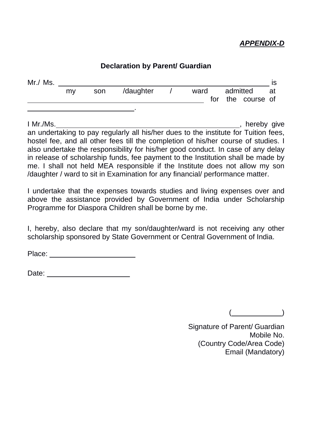## *APPENDIX-D*

# **Declaration by Parent/ Guardian** Mr./ Ms. is my son /daughter / ward admitted at for the course of .

I Mr./Ms. **I** Mr./Ms. an undertaking to pay regularly all his/her dues to the institute for Tuition fees, hostel fee, and all other fees till the completion of his/her course of studies. I also undertake the responsibility for his/her good conduct. In case of any delay in release of scholarship funds, fee payment to the Institution shall be made by me. I shall not held MEA responsible if the Institute does not allow my son /daughter / ward to sit in Examination for any financial/ performance matter.

I undertake that the expenses towards studies and living expenses over and above the assistance provided by Government of India under Scholarship Programme for Diaspora Children shall be borne by me.

I, hereby, also declare that my son/daughter/ward is not receiving any other scholarship sponsored by State Government or Central Government of India.

Place: **Place:** 

Date: with the contract of the contract of the contract of the contract of the contract of the contract of the contract of the contract of the contract of the contract of the contract of the contract of the contract of the

( \_\_\_\_\_\_\_\_\_\_\_\_)

Signature of Parent/ Guardian Mobile No. (Country Code/Area Code) Email (Mandatory)